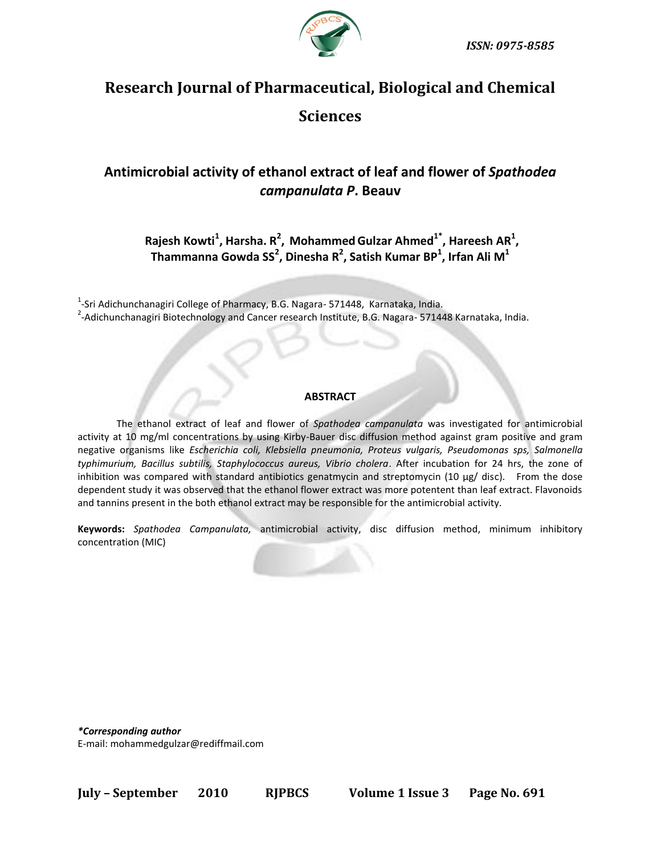

# **Research Journal of Pharmaceutical, Biological and Chemical Sciences**

## **Antimicrobial activity of ethanol extract of leaf and flower of** *Spathodea campanulata P***. Beauv**

**Rajesh Kowti<sup>1</sup> , Harsha. R<sup>2</sup> , MohammedGulzar Ahmed1\* , Hareesh AR<sup>1</sup> , Thammanna Gowda SS<sup>2</sup> , Dinesha R 2 , Satish Kumar BP<sup>1</sup> , Irfan Ali M<sup>1</sup>**

<sup>1</sup>-Sri Adichunchanagiri College of Pharmacy, B.G. Nagara- 571448, Karnataka, India. <sup>2</sup>-Adichunchanagiri Biotechnology and Cancer research Institute, B.G. Nagara- 571448 Karnataka, India.

#### **ABSTRACT**

The ethanol extract of leaf and flower of *Spathodea campanulata* was investigated for antimicrobial activity at 10 mg/ml concentrations by using Kirby-Bauer disc diffusion method against gram positive and gram negative organisms like *Escherichia coli, Klebsiella pneumonia, Proteus vulgaris, Pseudomonas sps, Salmonella typhimurium, Bacillus subtilis, Staphylococcus aureus, Vibrio cholera*. After incubation for 24 hrs, the zone of inhibition was compared with standard antibiotics genatmycin and streptomycin  $(10 \mu g /$  disc). From the dose dependent study it was observed that the ethanol flower extract was more potentent than leaf extract. Flavonoids and tannins present in the both ethanol extract may be responsible for the antimicrobial activity.

**Keywords:** *Spathodea Campanulata,* antimicrobial activity, disc diffusion method, minimum inhibitory concentration (MIC)

*\*Corresponding author* E-mail: mohammedgulzar@rediffmail.com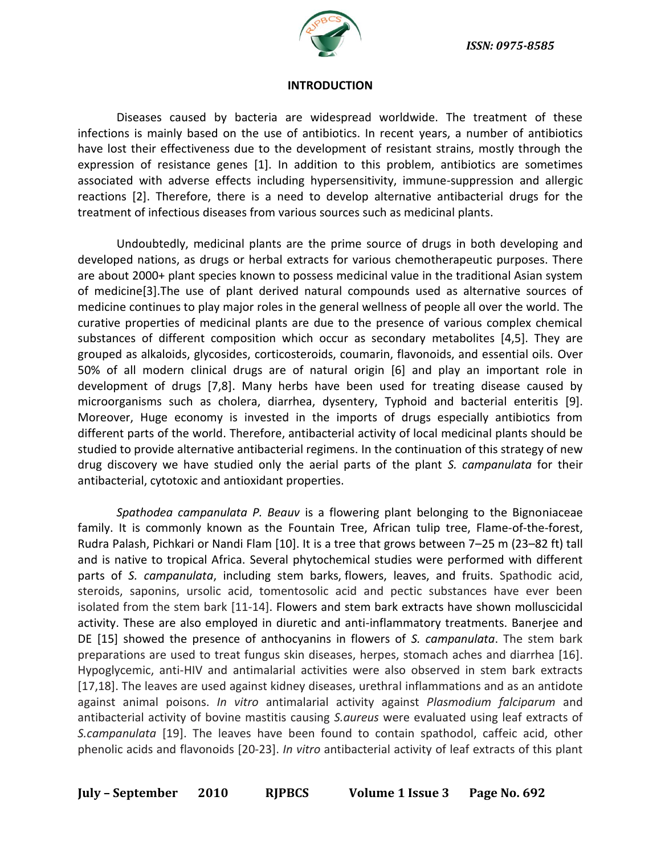

#### **INTRODUCTION**

Diseases caused by bacteria are widespread worldwide. The treatment of these infections is mainly based on the use of antibiotics. In recent years, a number of antibiotics have lost their effectiveness due to the development of resistant strains, mostly through the expression of resistance genes [1]. In addition to this problem, antibiotics are sometimes associated with adverse effects including hypersensitivity, immune-suppression and allergic reactions [2]. Therefore, there is a need to develop alternative antibacterial drugs for the treatment of infectious diseases from various sources such as medicinal plants.

Undoubtedly, medicinal plants are the prime source of drugs in both developing and developed nations, as drugs or herbal extracts for various chemotherapeutic purposes. There are about 2000+ plant species known to possess medicinal value in the traditional Asian system of medicine[3].The use of plant derived natural compounds used as alternative sources of medicine continues to play major roles in the general wellness of people all over the world. The curative properties of medicinal plants are due to the presence of various complex chemical substances of different composition which occur as secondary metabolites [4,5]. They are grouped as alkaloids, glycosides, corticosteroids, coumarin, flavonoids, and essential oils. Over 50% of all modern clinical drugs are of natural origin [6] and play an important role in development of drugs [7,8]. Many herbs have been used for treating disease caused by microorganisms such as cholera, diarrhea, dysentery, Typhoid and bacterial enteritis [9]. Moreover, Huge economy is invested in the imports of drugs especially antibiotics from different parts of the world. Therefore, antibacterial activity of local medicinal plants should be studied to provide alternative antibacterial regimens. In the continuation of this strategy of new drug discovery we have studied only the aerial parts of the plant *S. campanulata* for their antibacterial, cytotoxic and antioxidant properties.

*Spathodea campanulata P. Beauv* is a flowering plant belonging to the Bignoniaceae family. It is commonly known as the Fountain Tree, African tulip tree, Flame-of-the-forest, Rudra Palash, Pichkari or Nandi Flam [10]. It is a tree that grows between 7–25 m (23–82 ft) tall and is native to tropical Africa. Several phytochemical studies were performed with different parts of *S. campanulata*, including stem barks, flowers, leaves, and fruits. Spathodic acid, steroids, saponins, ursolic acid, tomentosolic acid and pectic substances have ever been isolated from the stem bark [11-14]. Flowers and stem bark extracts have shown molluscicidal activity. These are also employed in diuretic and anti-inflammatory treatments. Banerjee and DE [15] showed the presence of anthocyanins in flowers of *S. campanulata*. The stem bark preparations are used to treat fungus skin diseases, herpes, stomach aches and diarrhea [16]. Hypoglycemic, anti-HIV and antimalarial activities were also observed in stem bark extracts [17,18]. The leaves are used against kidney diseases, urethral inflammations and as an antidote against animal poisons. *In vitro* antimalarial activity against *Plasmodium falciparum* and antibacterial activity of bovine mastitis causing *S.aureus* were evaluated using leaf extracts of *S.campanulata* [19]. The leaves have been found to contain spathodol, caffeic acid, other phenolic acids and flavonoids [20-23]. *In vitro* antibacterial activity of leaf extracts of this plant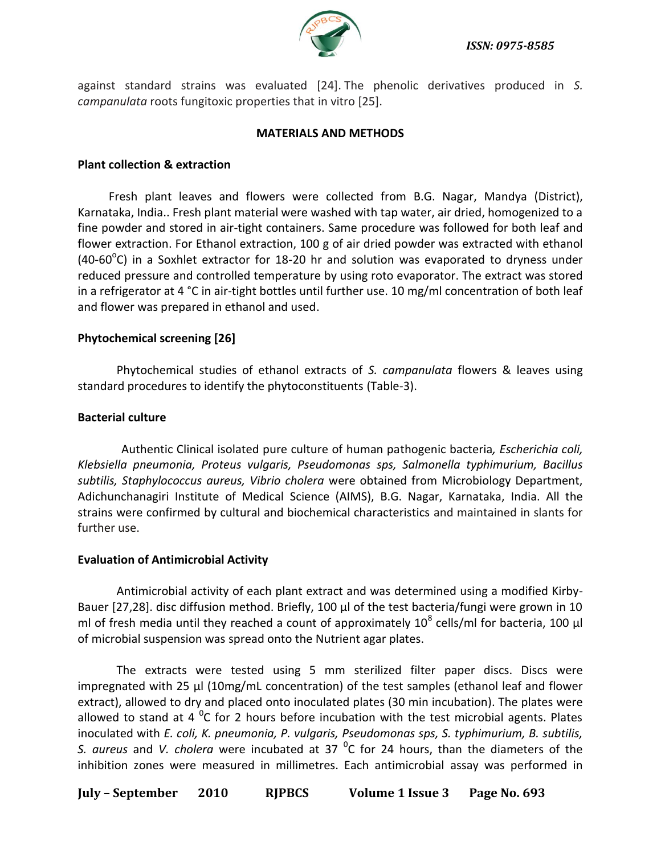against standard strains was evaluated [24]. The phenolic derivatives produced in *S. campanulata* roots fungitoxic properties that in vitro [25].

## **MATERIALS AND METHODS**

## **Plant collection & extraction**

Fresh plant leaves and flowers were collected from B.G. Nagar, Mandya (District), Karnataka, India.. Fresh plant material were washed with tap water, air dried, homogenized to a fine powder and stored in air-tight containers. Same procedure was followed for both leaf and flower extraction. For Ethanol extraction, 100 g of air dried powder was extracted with ethanol (40-60 $^{\circ}$ C) in a Soxhlet extractor for 18-20 hr and solution was evaporated to dryness under reduced pressure and controlled temperature by using roto evaporator. The extract was stored in a refrigerator at 4 °C in air-tight bottles until further use. 10 mg/ml concentration of both leaf and flower was prepared in ethanol and used.

## **Phytochemical screening [26]**

Phytochemical studies of ethanol extracts of *S. campanulata* flowers & leaves using standard procedures to identify the phytoconstituents (Table-3).

## **Bacterial culture**

Authentic Clinical isolated pure culture of human pathogenic bacteria*, Escherichia coli, Klebsiella pneumonia, Proteus vulgaris, Pseudomonas sps, Salmonella typhimurium, Bacillus subtilis, Staphylococcus aureus, Vibrio cholera* were obtained from Microbiology Department, Adichunchanagiri Institute of Medical Science (AIMS), B.G. Nagar, Karnataka, India. All the strains were confirmed by cultural and biochemical characteristics and maintained in slants for further use.

## **Evaluation of Antimicrobial Activity**

Antimicrobial activity of each plant extract and was determined using a modified Kirby-Bauer [27,28]. disc diffusion method. Briefly, 100 µl of the test bacteria/fungi were grown in 10 ml of fresh media until they reached a count of approximately 10<sup>8</sup> cells/ml for bacteria, 100  $\mu$ l of microbial suspension was spread onto the Nutrient agar plates.

The extracts were tested using 5 mm sterilized filter paper discs. Discs were impregnated with 25 µl (10mg/mL concentration) of the test samples (ethanol leaf and flower extract), allowed to dry and placed onto inoculated plates (30 min incubation). The plates were allowed to stand at 4  $\mathrm{^0C}$  for 2 hours before incubation with the test microbial agents. Plates inoculated with *E. coli, K. pneumonia, P. vulgaris, Pseudomonas sps, S. typhimurium, B. subtilis,*  S. aureus and *V. cholera* were incubated at 37 <sup>o</sup>C for 24 hours, than the diameters of the inhibition zones were measured in millimetres. Each antimicrobial assay was performed in

**July – September 2010 RJPBCS Volume 1 Issue 3 Page No. 693**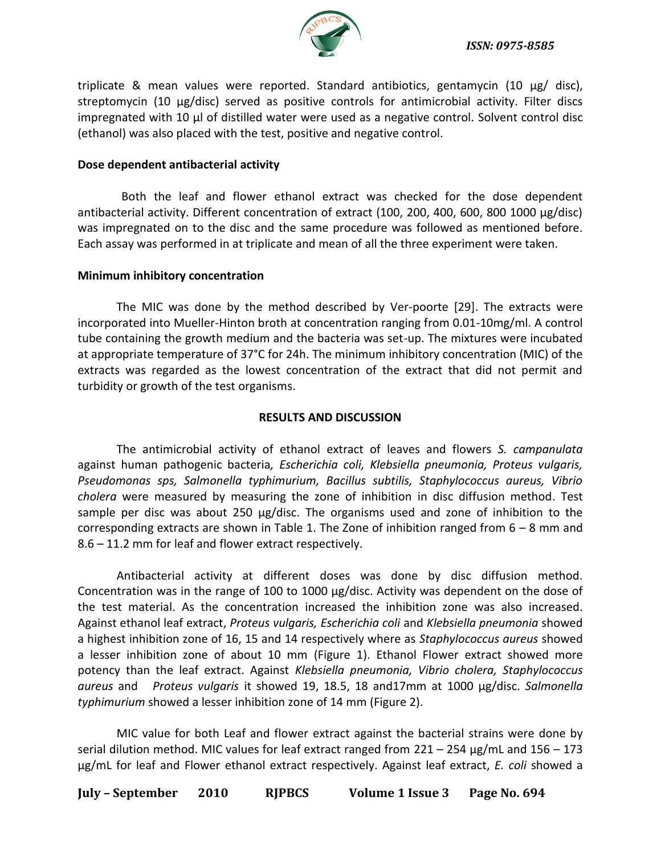

triplicate & mean values were reported. Standard antibiotics, gentamycin (10  $\mu$ g/ disc), streptomycin (10 µg/disc) served as positive controls for antimicrobial activity. Filter discs impregnated with 10 µl of distilled water were used as a negative control. Solvent control disc (ethanol) was also placed with the test, positive and negative control.

### **Dose dependent antibacterial activity**

Both the leaf and flower ethanol extract was checked for the dose dependent antibacterial activity. Different concentration of extract (100, 200, 400, 600, 800 1000 µg/disc) was impregnated on to the disc and the same procedure was followed as mentioned before. Each assay was performed in at triplicate and mean of all the three experiment were taken.

#### **Minimum inhibitory concentration**

The MIC was done by the method described by Ver-poorte [29]. The extracts were incorporated into Mueller-Hinton broth at concentration ranging from 0.01-10mg/ml. A control tube containing the growth medium and the bacteria was set-up. The mixtures were incubated at appropriate temperature of 37°C for 24h. The minimum inhibitory concentration (MIC) of the extracts was regarded as the lowest concentration of the extract that did not permit and turbidity or growth of the test organisms.

## **RESULTS AND DISCUSSION**

The antimicrobial activity of ethanol extract of leaves and flowers *S. campanulata* against human pathogenic bacteria*, Escherichia coli, Klebsiella pneumonia, Proteus vulgaris, Pseudomonas sps, Salmonella typhimurium, Bacillus subtilis, Staphylococcus aureus, Vibrio cholera* were measured by measuring the zone of inhibition in disc diffusion method. Test sample per disc was about 250  $\mu$ g/disc. The organisms used and zone of inhibition to the corresponding extracts are shown in Table 1. The Zone of inhibition ranged from  $6 - 8$  mm and 8.6 – 11.2 mm for leaf and flower extract respectively.

Antibacterial activity at different doses was done by disc diffusion method. Concentration was in the range of 100 to 1000 µg/disc. Activity was dependent on the dose of the test material. As the concentration increased the inhibition zone was also increased. Against ethanol leaf extract, *Proteus vulgaris, Escherichia coli* and *Klebsiella pneumonia* showed a highest inhibition zone of 16, 15 and 14 respectively where as *Staphylococcus aureus* showed a lesser inhibition zone of about 10 mm (Figure 1). Ethanol Flower extract showed more potency than the leaf extract. Against *Klebsiella pneumonia, Vibrio cholera, Staphylococcus aureus* and *Proteus vulgaris* it showed 19, 18.5, 18 and17mm at 1000 µg/disc. *Salmonella typhimurium* showed a lesser inhibition zone of 14 mm (Figure 2).

MIC value for both Leaf and flower extract against the bacterial strains were done by serial dilution method. MIC values for leaf extract ranged from  $221 - 254 \mu g/mL$  and  $156 - 173$ µg/mL for leaf and Flower ethanol extract respectively. Against leaf extract, *E. coli* showed a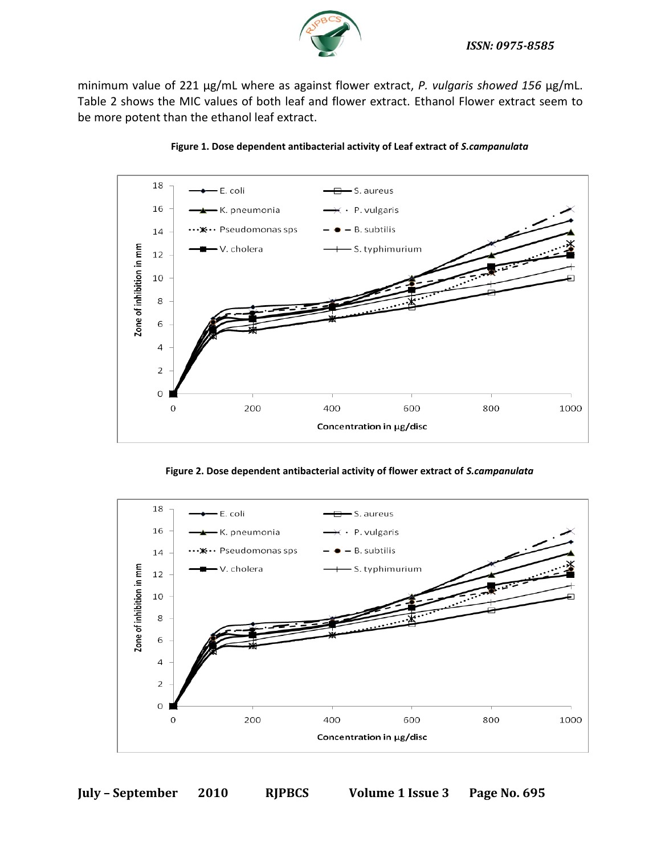

minimum value of 221 µg/mL where as against flower extract, *P. vulgaris showed 156* µg/mL. Table 2 shows the MIC values of both leaf and flower extract. Ethanol Flower extract seem to be more potent than the ethanol leaf extract.





**Figure 2. Dose dependent antibacterial activity of flower extract of** *S.campanulata*

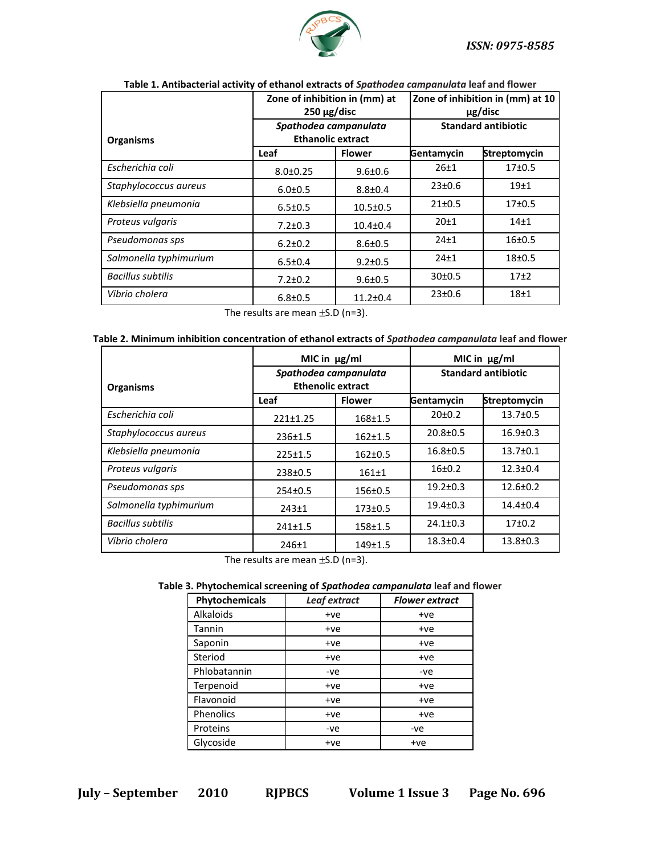

|                          | Zone of inhibition in (mm) at<br>$250 \mu g/disc$ |                | Zone of inhibition in (mm) at 10<br>$\mu$ g/disc |                  |
|--------------------------|---------------------------------------------------|----------------|--------------------------------------------------|------------------|
|                          | Spathodea campanulata                             |                | <b>Standard antibiotic</b>                       |                  |
| <b>Organisms</b>         | <b>Ethanolic extract</b>                          |                |                                                  |                  |
|                          | Leaf                                              | <b>Flower</b>  | Gentamycin                                       | Streptomycin     |
| Escherichia coli         | $8.0 \pm 0.25$                                    | $9.6 \pm 0.6$  | 26±1                                             | 17±0.5           |
| Staphylococcus aureus    | $6.0 \pm 0.5$                                     | $8.8 \pm 0.4$  | 23±0.6                                           | 19 <sub>±1</sub> |
| Klebsiella pneumonia     | $6.5 \pm 0.5$                                     | $10.5 \pm 0.5$ | $21 \pm 0.5$                                     | $17+0.5$         |
| Proteus vulgaris         | $7.2 \pm 0.3$                                     | $10.4 \pm 0.4$ | 20±1                                             | 14 <sub>±1</sub> |
| Pseudomonas sps          | $6.2 \pm 0.2$                                     | $8.6 \pm 0.5$  | $24 \pm 1$                                       | 16±0.5           |
| Salmonella typhimurium   | $6.5 \pm 0.4$                                     | $9.2 \pm 0.5$  | $24 + 1$                                         | $18 + 0.5$       |
| <b>Bacillus subtilis</b> | $7.2 \pm 0.2$                                     | $9.6 \pm 0.5$  | 30±0.5                                           | $17\pm2$         |
| Vibrio cholera           | $6.8 \pm 0.5$                                     | $11.2 \pm 0.4$ | 23±0.6                                           | 18 <sub>±1</sub> |

#### **Table 1. Antibacterial activity of ethanol extracts of** *Spathodea campanulata* **leaf and flower**

The results are mean  $\pm$ S.D (n=3).

| Table 2. Minimum inhibition concentration of ethanol extracts of <i>Spathodea campanulata</i> leaf and flower |  |  |
|---------------------------------------------------------------------------------------------------------------|--|--|
|---------------------------------------------------------------------------------------------------------------|--|--|

|                          | MIC in $\mu$ g/ml                                 |               | MIC in $\mu$ g/ml          |                |
|--------------------------|---------------------------------------------------|---------------|----------------------------|----------------|
| <b>Organisms</b>         | Spathodea campanulata<br><b>Ethenolic extract</b> |               | <b>Standard antibiotic</b> |                |
|                          | Leaf                                              | <b>Flower</b> | Gentamycin                 | Streptomycin   |
| Escherichia coli         | $221 \pm 1.25$                                    | $168 + 1.5$   | 20±0.2                     | $13.7 \pm 0.5$ |
| Staphylococcus aureus    | $236 \pm 1.5$                                     | $162 \pm 1.5$ | $20.8 \pm 0.5$             | $16.9 \pm 0.3$ |
| Klebsiella pneumonia     | $225 \pm 1.5$                                     | $162 \pm 0.5$ | $16.8 \pm 0.5$             | $13.7 \pm 0.1$ |
| Proteus vulgaris         | $238 \pm 0.5$                                     | $161+1$       | $16+0.2$                   | $12.3 \pm 0.4$ |
| Pseudomonas sps          | $254 \pm 0.5$                                     | 156±0.5       | $19.2 \pm 0.3$             | $12.6 \pm 0.2$ |
| Salmonella typhimurium   | $243+1$                                           | $173 + 0.5$   | $19.4 \pm 0.3$             | $14.4 \pm 0.4$ |
| <b>Bacillus subtilis</b> | $241 \pm 1.5$                                     | $158 + 1.5$   | $24.1 \pm 0.3$             | $17+0.2$       |
| Vibrio cholera           | $246 \pm 1$                                       | $149+1.5$     | $18.3 \pm 0.4$             | $13.8 \pm 0.3$ |

The results are mean  $\pm$ S.D (n=3).

#### **Table 3. Phytochemical screening of** *Spathodea campanulata* **leaf and flower**

| Phytochemicals | Leaf extract | <b>Flower extract</b> |  |
|----------------|--------------|-----------------------|--|
| Alkaloids      | $+ve$        | +ve                   |  |
| Tannin         | +ve          | +ve                   |  |
| Saponin        | +ve          | +ve                   |  |
| Steriod        | +ve          | +ve                   |  |
| Phlobatannin   | -ve          | -ve                   |  |
| Terpenoid      | +ve          | +ve                   |  |
| Flavonoid      | +ve          | +ve                   |  |
| Phenolics      | $+ve$        | +ve                   |  |
| Proteins       | -ve          | -ve                   |  |
| Glycoside      | +ve          | +ve                   |  |

**July – September 2010 RJPBCS Volume 1 Issue 3 Page No. 696**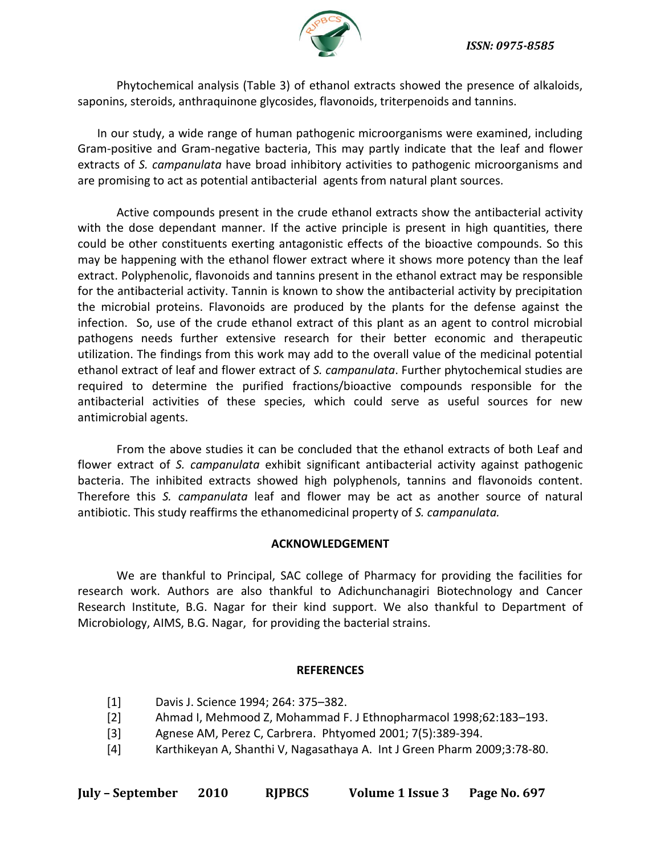

Phytochemical analysis (Table 3) of ethanol extracts showed the presence of alkaloids, saponins, steroids, anthraquinone glycosides, flavonoids, triterpenoids and tannins.

In our study, a wide range of human pathogenic microorganisms were examined, including Gram-positive and Gram-negative bacteria, This may partly indicate that the leaf and flower extracts of *S. campanulata* have broad inhibitory activities to pathogenic microorganisms and are promising to act as potential antibacterial agents from natural plant sources.

Active compounds present in the crude ethanol extracts show the antibacterial activity with the dose dependant manner. If the active principle is present in high quantities, there could be other constituents exerting antagonistic effects of the bioactive compounds. So this may be happening with the ethanol flower extract where it shows more potency than the leaf extract. Polyphenolic, flavonoids and tannins present in the ethanol extract may be responsible for the antibacterial activity. Tannin is known to show the antibacterial activity by precipitation the microbial proteins. Flavonoids are produced by the plants for the defense against the infection. So, use of the crude ethanol extract of this plant as an agent to control microbial pathogens needs further extensive research for their better economic and therapeutic utilization. The findings from this work may add to the overall value of the medicinal potential ethanol extract of leaf and flower extract of *S. campanulata*. Further phytochemical studies are required to determine the purified fractions/bioactive compounds responsible for the antibacterial activities of these species, which could serve as useful sources for new antimicrobial agents.

From the above studies it can be concluded that the ethanol extracts of both Leaf and flower extract of *S. campanulata* exhibit significant antibacterial activity against pathogenic bacteria. The inhibited extracts showed high polyphenols, tannins and flavonoids content. Therefore this *S. campanulata* leaf and flower may be act as another source of natural antibiotic. This study reaffirms the ethanomedicinal property of *S. campanulata.*

## **ACKNOWLEDGEMENT**

We are thankful to Principal, SAC college of Pharmacy for providing the facilities for research work. Authors are also thankful to Adichunchanagiri Biotechnology and Cancer Research Institute, B.G. Nagar for their kind support. We also thankful to Department of Microbiology, AIMS, B.G. Nagar, for providing the bacterial strains.

## **REFERENCES**

- [1] Davis J. Science 1994; 264: 375–382.
- [2] Ahmad I, Mehmood Z, Mohammad F. J Ethnopharmacol 1998;62:183–193.
- [3] Agnese AM, Perez C, Carbrera. Phtyomed 2001; 7(5):389-394.
- [4] Karthikeyan A, Shanthi V, Nagasathaya A. Int J Green Pharm 2009;3:78-80.